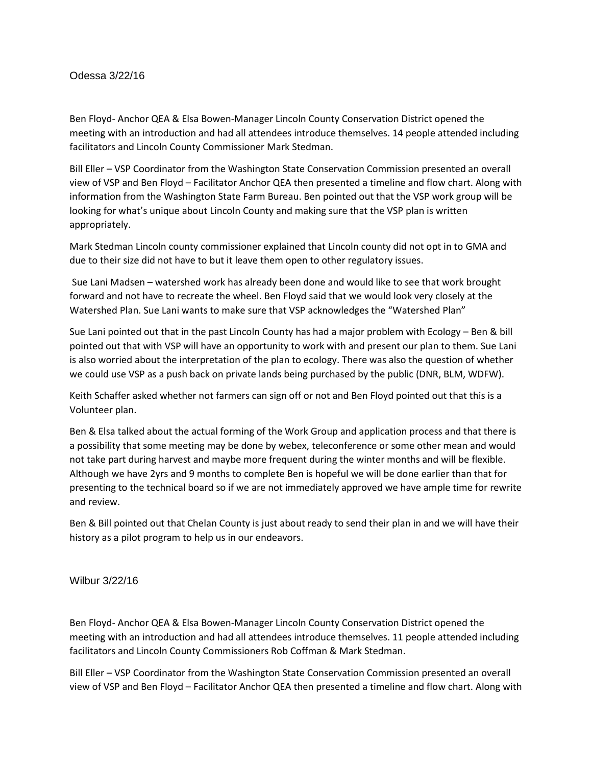## Odessa 3/22/16

Ben Floyd- Anchor QEA & Elsa Bowen-Manager Lincoln County Conservation District opened the meeting with an introduction and had all attendees introduce themselves. 14 people attended including facilitators and Lincoln County Commissioner Mark Stedman.

Bill Eller – VSP Coordinator from the Washington State Conservation Commission presented an overall view of VSP and Ben Floyd – Facilitator Anchor QEA then presented a timeline and flow chart. Along with information from the Washington State Farm Bureau. Ben pointed out that the VSP work group will be looking for what's unique about Lincoln County and making sure that the VSP plan is written appropriately.

Mark Stedman Lincoln county commissioner explained that Lincoln county did not opt in to GMA and due to their size did not have to but it leave them open to other regulatory issues.

Sue Lani Madsen – watershed work has already been done and would like to see that work brought forward and not have to recreate the wheel. Ben Floyd said that we would look very closely at the Watershed Plan. Sue Lani wants to make sure that VSP acknowledges the "Watershed Plan"

Sue Lani pointed out that in the past Lincoln County has had a major problem with Ecology – Ben & bill pointed out that with VSP will have an opportunity to work with and present our plan to them. Sue Lani is also worried about the interpretation of the plan to ecology. There was also the question of whether we could use VSP as a push back on private lands being purchased by the public (DNR, BLM, WDFW).

Keith Schaffer asked whether not farmers can sign off or not and Ben Floyd pointed out that this is a Volunteer plan.

Ben & Elsa talked about the actual forming of the Work Group and application process and that there is a possibility that some meeting may be done by webex, teleconference or some other mean and would not take part during harvest and maybe more frequent during the winter months and will be flexible. Although we have 2yrs and 9 months to complete Ben is hopeful we will be done earlier than that for presenting to the technical board so if we are not immediately approved we have ample time for rewrite and review.

Ben & Bill pointed out that Chelan County is just about ready to send their plan in and we will have their history as a pilot program to help us in our endeavors.

Wilbur 3/22/16

Ben Floyd- Anchor QEA & Elsa Bowen-Manager Lincoln County Conservation District opened the meeting with an introduction and had all attendees introduce themselves. 11 people attended including facilitators and Lincoln County Commissioners Rob Coffman & Mark Stedman.

Bill Eller – VSP Coordinator from the Washington State Conservation Commission presented an overall view of VSP and Ben Floyd – Facilitator Anchor QEA then presented a timeline and flow chart. Along with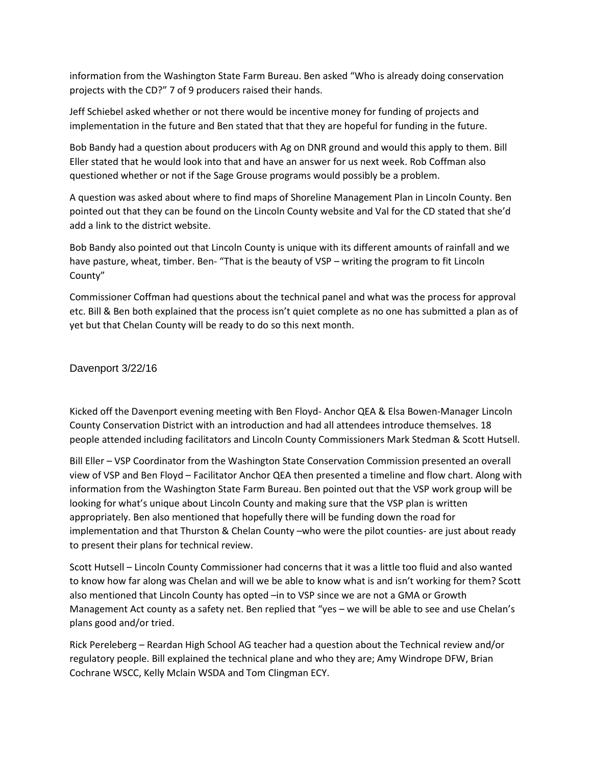information from the Washington State Farm Bureau. Ben asked "Who is already doing conservation projects with the CD?" 7 of 9 producers raised their hands.

Jeff Schiebel asked whether or not there would be incentive money for funding of projects and implementation in the future and Ben stated that that they are hopeful for funding in the future.

Bob Bandy had a question about producers with Ag on DNR ground and would this apply to them. Bill Eller stated that he would look into that and have an answer for us next week. Rob Coffman also questioned whether or not if the Sage Grouse programs would possibly be a problem.

A question was asked about where to find maps of Shoreline Management Plan in Lincoln County. Ben pointed out that they can be found on the Lincoln County website and Val for the CD stated that she'd add a link to the district website.

Bob Bandy also pointed out that Lincoln County is unique with its different amounts of rainfall and we have pasture, wheat, timber. Ben- "That is the beauty of VSP – writing the program to fit Lincoln County"

Commissioner Coffman had questions about the technical panel and what was the process for approval etc. Bill & Ben both explained that the process isn't quiet complete as no one has submitted a plan as of yet but that Chelan County will be ready to do so this next month.

Davenport 3/22/16

Kicked off the Davenport evening meeting with Ben Floyd- Anchor QEA & Elsa Bowen-Manager Lincoln County Conservation District with an introduction and had all attendees introduce themselves. 18 people attended including facilitators and Lincoln County Commissioners Mark Stedman & Scott Hutsell.

Bill Eller – VSP Coordinator from the Washington State Conservation Commission presented an overall view of VSP and Ben Floyd – Facilitator Anchor QEA then presented a timeline and flow chart. Along with information from the Washington State Farm Bureau. Ben pointed out that the VSP work group will be looking for what's unique about Lincoln County and making sure that the VSP plan is written appropriately. Ben also mentioned that hopefully there will be funding down the road for implementation and that Thurston & Chelan County –who were the pilot counties- are just about ready to present their plans for technical review.

Scott Hutsell – Lincoln County Commissioner had concerns that it was a little too fluid and also wanted to know how far along was Chelan and will we be able to know what is and isn't working for them? Scott also mentioned that Lincoln County has opted –in to VSP since we are not a GMA or Growth Management Act county as a safety net. Ben replied that "yes – we will be able to see and use Chelan's plans good and/or tried.

Rick Pereleberg – Reardan High School AG teacher had a question about the Technical review and/or regulatory people. Bill explained the technical plane and who they are; Amy Windrope DFW, Brian Cochrane WSCC, Kelly Mclain WSDA and Tom Clingman ECY.